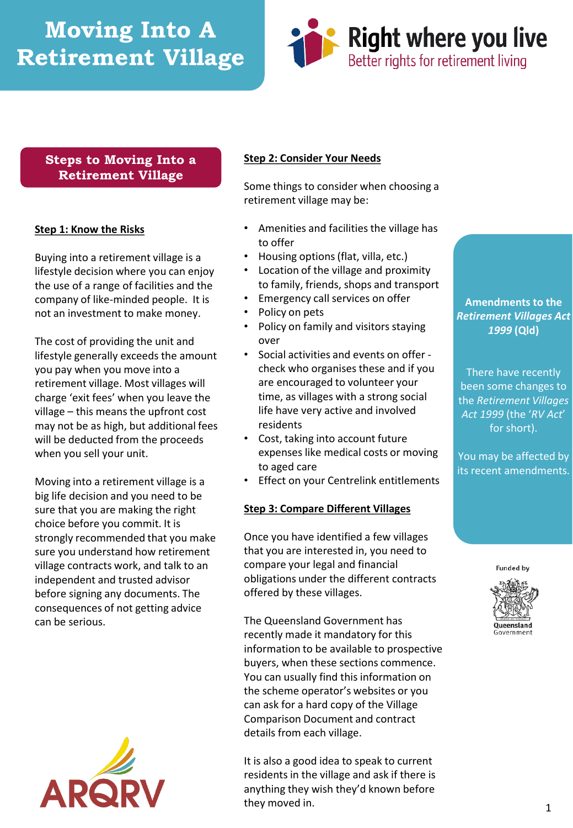# **Moving Into A Retirement Village**



# **Steps to Moving Into a Retirement Village**

## **Step 1: Know the Risks**

Buying into a retirement village is a lifestyle decision where you can enjoy the use of a range of facilities and the company of like-minded people. It is not an investment to make money.

The cost of providing the unit and lifestyle generally exceeds the amount you pay when you move into a retirement village. Most villages will charge 'exit fees' when you leave the village – this means the upfront cost may not be as high, but additional fees will be deducted from the proceeds when you sell your unit.

Moving into a retirement village is a big life decision and you need to be sure that you are making the right choice before you commit. It is strongly recommended that you make sure you understand how retirement village contracts work, and talk to an independent and trusted advisor before signing any documents. The consequences of not getting advice can be serious.



## **Step 2: Consider Your Needs**

Some things to consider when choosing a retirement village may be:

- Amenities and facilities the village has to offer
- Housing options (flat, villa, etc.)
- Location of the village and proximity to family, friends, shops and transport
- Emergency call services on offer
- Policy on pets
- Policy on family and visitors staying over
- Social activities and events on offer check who organises these and if you are encouraged to volunteer your time, as villages with a strong social life have very active and involved residents
- Cost, taking into account future expenses like medical costs or moving to aged care
- Effect on your Centrelink entitlements

#### **Step 3: Compare Different Villages**

Once you have identified a few villages that you are interested in, you need to compare your legal and financial obligations under the different contracts offered by these villages.

The Queensland Government has recently made it mandatory for this information to be available to prospective buyers, when these sections commence. You can usually find this information on the scheme operator's websites or you can ask for a hard copy of the Village Comparison Document and contract details from each village.

It is also a good idea to speak to current residents in the village and ask if there is anything they wish they'd known before they moved in.

# **Amendments to the**  *Retirement Villages Act 1999* **(Qld)**

There have recently been some changes to the *Retirement Villages Act 1999* (the '*RV Act*' for short).

You may be affected by its recent amendments.

**Funded by**